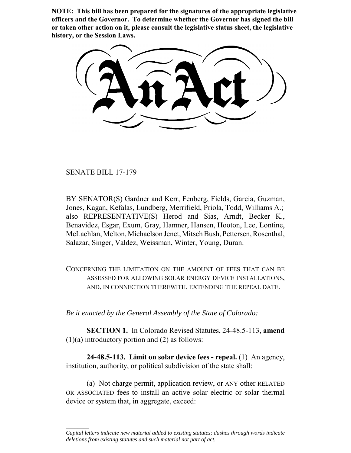**NOTE: This bill has been prepared for the signatures of the appropriate legislative officers and the Governor. To determine whether the Governor has signed the bill or taken other action on it, please consult the legislative status sheet, the legislative history, or the Session Laws.**

SENATE BILL 17-179

 $\frac{1}{2}$ 

BY SENATOR(S) Gardner and Kerr, Fenberg, Fields, Garcia, Guzman, Jones, Kagan, Kefalas, Lundberg, Merrifield, Priola, Todd, Williams A.; also REPRESENTATIVE(S) Herod and Sias, Arndt, Becker K., Benavidez, Esgar, Exum, Gray, Hamner, Hansen, Hooton, Lee, Lontine, McLachlan, Melton, Michaelson Jenet, Mitsch Bush, Pettersen, Rosenthal, Salazar, Singer, Valdez, Weissman, Winter, Young, Duran.

CONCERNING THE LIMITATION ON THE AMOUNT OF FEES THAT CAN BE ASSESSED FOR ALLOWING SOLAR ENERGY DEVICE INSTALLATIONS, AND, IN CONNECTION THEREWITH, EXTENDING THE REPEAL DATE.

*Be it enacted by the General Assembly of the State of Colorado:*

**SECTION 1.** In Colorado Revised Statutes, 24-48.5-113, **amend**  $(1)(a)$  introductory portion and  $(2)$  as follows:

**24-48.5-113. Limit on solar device fees - repeal.** (1) An agency, institution, authority, or political subdivision of the state shall:

(a) Not charge permit, application review, or ANY other RELATED OR ASSOCIATED fees to install an active solar electric or solar thermal device or system that, in aggregate, exceed:

*Capital letters indicate new material added to existing statutes; dashes through words indicate deletions from existing statutes and such material not part of act.*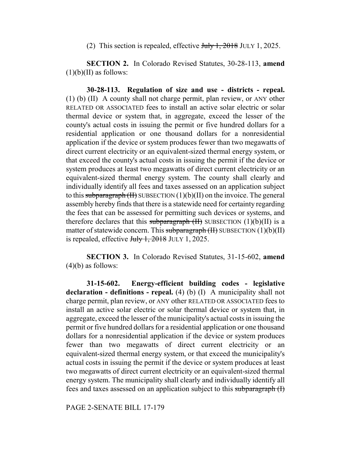(2) This section is repealed, effective  $\frac{\text{turb}}{\text{t}}$ , 2018 JULY 1, 2025.

**SECTION 2.** In Colorado Revised Statutes, 30-28-113, **amend**  $(1)(b)(II)$  as follows:

**30-28-113. Regulation of size and use - districts - repeal.** (1) (b) (II) A county shall not charge permit, plan review, or ANY other RELATED OR ASSOCIATED fees to install an active solar electric or solar thermal device or system that, in aggregate, exceed the lesser of the county's actual costs in issuing the permit or five hundred dollars for a residential application or one thousand dollars for a nonresidential application if the device or system produces fewer than two megawatts of direct current electricity or an equivalent-sized thermal energy system, or that exceed the county's actual costs in issuing the permit if the device or system produces at least two megawatts of direct current electricity or an equivalent-sized thermal energy system. The county shall clearly and individually identify all fees and taxes assessed on an application subject to this subparagraph  $(H)$  SUBSECTION  $(1)(b)(H)$  on the invoice. The general assembly hereby finds that there is a statewide need for certainty regarding the fees that can be assessed for permitting such devices or systems, and therefore declares that this subparagraph  $(H)$  SUBSECTION  $(1)(b)(II)$  is a matter of statewide concern. This subparagraph  $(H)$  SUBSECTION  $(1)(b)(II)$ is repealed, effective  $J_{\text{ul}} + 2018$  JULY 1, 2025.

**SECTION 3.** In Colorado Revised Statutes, 31-15-602, **amend**  $(4)(b)$  as follows:

**31-15-602. Energy-efficient building codes - legislative declaration - definitions - repeal.** (4) (b) (I) A municipality shall not charge permit, plan review, or ANY other RELATED OR ASSOCIATED fees to install an active solar electric or solar thermal device or system that, in aggregate, exceed the lesser of the municipality's actual costs in issuing the permit or five hundred dollars for a residential application or one thousand dollars for a nonresidential application if the device or system produces fewer than two megawatts of direct current electricity or an equivalent-sized thermal energy system, or that exceed the municipality's actual costs in issuing the permit if the device or system produces at least two megawatts of direct current electricity or an equivalent-sized thermal energy system. The municipality shall clearly and individually identify all fees and taxes assessed on an application subject to this subparagraph (I)

PAGE 2-SENATE BILL 17-179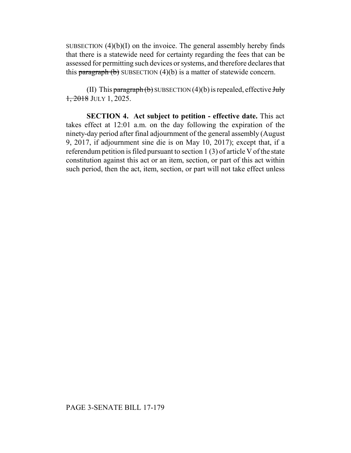SUBSECTION  $(4)(b)(I)$  on the invoice. The general assembly hereby finds that there is a statewide need for certainty regarding the fees that can be assessed for permitting such devices or systems, and therefore declares that this paragraph  $(b)$  SUBSECTION  $(4)(b)$  is a matter of statewide concern.

(II) This paragraph  $(b)$  SUBSECTION  $(4)(b)$  is repealed, effective July 1, 2018 JULY 1, 2025.

**SECTION 4. Act subject to petition - effective date.** This act takes effect at 12:01 a.m. on the day following the expiration of the ninety-day period after final adjournment of the general assembly (August 9, 2017, if adjournment sine die is on May 10, 2017); except that, if a referendum petition is filed pursuant to section 1 (3) of article V of the state constitution against this act or an item, section, or part of this act within such period, then the act, item, section, or part will not take effect unless